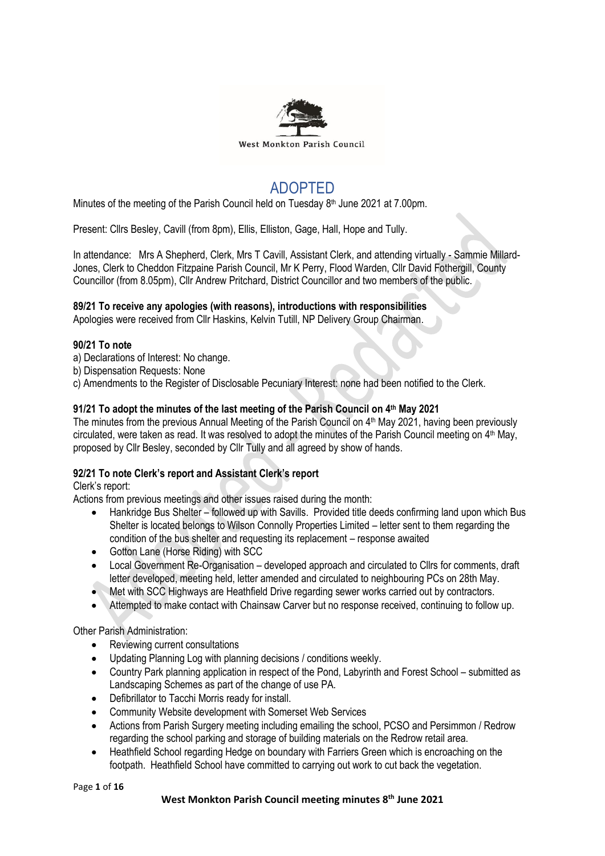

# ADOPTED

Minutes of the meeting of the Parish Council held on Tuesday 8<sup>th</sup> June 2021 at 7.00pm.

Present: Cllrs Besley, Cavill (from 8pm), Ellis, Elliston, Gage, Hall, Hope and Tully.

In attendance: Mrs A Shepherd, Clerk, Mrs T Cavill, Assistant Clerk, and attending virtually - Sammie Millard-Jones, Clerk to Cheddon Fitzpaine Parish Council, Mr K Perry, Flood Warden, Cllr David Fothergill, County Councillor (from 8.05pm), Cllr Andrew Pritchard, District Councillor and two members of the public.

# **89/21 To receive any apologies (with reasons), introductions with responsibilities**

Apologies were received from Cllr Haskins, Kelvin Tutill, NP Delivery Group Chairman.

# **90/21 To note**

- a) Declarations of Interest: No change.
- b) Dispensation Requests: None
- c) Amendments to the Register of Disclosable Pecuniary Interest: none had been notified to the Clerk.

# **91/21 To adopt the minutes of the last meeting of the Parish Council on 4 th May 2021**

The minutes from the previous Annual Meeting of the Parish Council on 4<sup>th</sup> May 2021, having been previously circulated, were taken as read. It was resolved to adopt the minutes of the Parish Council meeting on 4<sup>th</sup> May, proposed by Cllr Besley, seconded by Cllr Tully and all agreed by show of hands.

# **92/21 To note Clerk's report and Assistant Clerk's report**

Clerk's report:

Actions from previous meetings and other issues raised during the month:

- Hankridge Bus Shelter followed up with Savills. Provided title deeds confirming land upon which Bus Shelter is located belongs to Wilson Connolly Properties Limited – letter sent to them regarding the condition of the bus shelter and requesting its replacement – response awaited
- Gotton Lane (Horse Riding) with SCC
- Local Government Re-Organisation developed approach and circulated to Cllrs for comments, draft letter developed, meeting held, letter amended and circulated to neighbouring PCs on 28th May.
- Met with SCC Highways are Heathfield Drive regarding sewer works carried out by contractors.
- Attempted to make contact with Chainsaw Carver but no response received, continuing to follow up.

Other Parish Administration:

- Reviewing current consultations
- Updating Planning Log with planning decisions / conditions weekly.
- Country Park planning application in respect of the Pond, Labyrinth and Forest School submitted as Landscaping Schemes as part of the change of use PA.
- Defibrillator to Tacchi Morris ready for install.
- Community Website development with Somerset Web Services
- Actions from Parish Surgery meeting including emailing the school, PCSO and Persimmon / Redrow regarding the school parking and storage of building materials on the Redrow retail area.
- Heathfield School regarding Hedge on boundary with Farriers Green which is encroaching on the footpath. Heathfield School have committed to carrying out work to cut back the vegetation.

Page **1** of **16**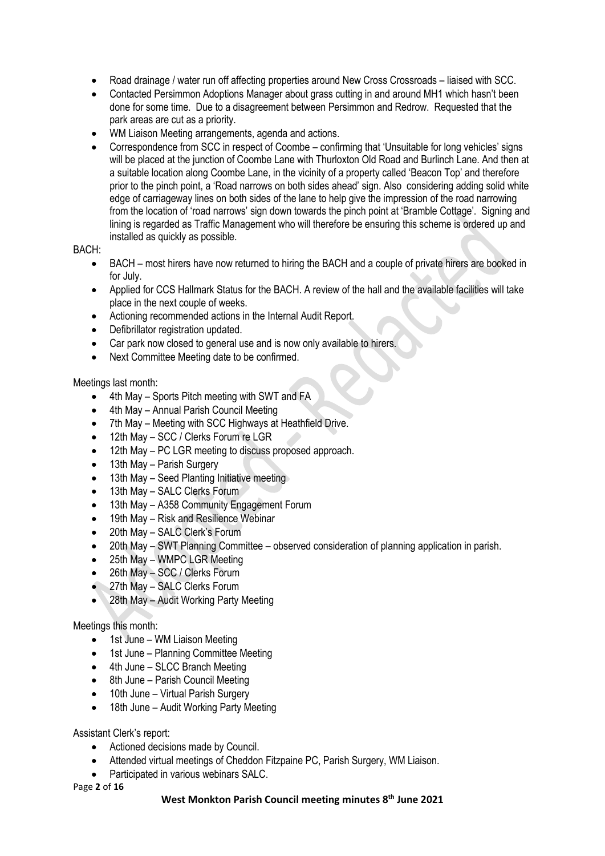- Road drainage / water run off affecting properties around New Cross Crossroads liaised with SCC.
- Contacted Persimmon Adoptions Manager about grass cutting in and around MH1 which hasn't been done for some time. Due to a disagreement between Persimmon and Redrow. Requested that the park areas are cut as a priority.
- WM Liaison Meeting arrangements, agenda and actions.
- Correspondence from SCC in respect of Coombe confirming that 'Unsuitable for long vehicles' signs will be placed at the junction of Coombe Lane with Thurloxton Old Road and Burlinch Lane. And then at a suitable location along Coombe Lane, in the vicinity of a property called 'Beacon Top' and therefore prior to the pinch point, a 'Road narrows on both sides ahead' sign. Also considering adding solid white edge of carriageway lines on both sides of the lane to help give the impression of the road narrowing from the location of 'road narrows' sign down towards the pinch point at 'Bramble Cottage'. Signing and lining is regarded as Traffic Management who will therefore be ensuring this scheme is ordered up and installed as quickly as possible.

# BACH:

- BACH most hirers have now returned to hiring the BACH and a couple of private hirers are booked in for July.
- Applied for CCS Hallmark Status for the BACH. A review of the hall and the available facilities will take place in the next couple of weeks.
- Actioning recommended actions in the Internal Audit Report.
- Defibrillator registration updated.
- Car park now closed to general use and is now only available to hirers.
- Next Committee Meeting date to be confirmed.

Meetings last month:

- 4th May Sports Pitch meeting with SWT and FA
- 4th May Annual Parish Council Meeting
- 7th May Meeting with SCC Highways at Heathfield Drive.
- 12th May SCC / Clerks Forum re LGR
- 12th May PC LGR meeting to discuss proposed approach.
- 13th May Parish Surgery
- 13th May Seed Planting Initiative meeting
- 13th May SALC Clerks Forum
- 13th May A358 Community Engagement Forum
- 19th May Risk and Resilience Webinar
- 20th May SALC Clerk's Forum
- 20th May SWT Planning Committee observed consideration of planning application in parish.
- 25th May WMPC LGR Meeting
- 26th May SCC / Clerks Forum
- 27th May SALC Clerks Forum
- 28th May Audit Working Party Meeting

# Meetings this month:

- 1st June WM Liaison Meeting
- 1st June Planning Committee Meeting
- 4th June SLCC Branch Meeting
- 8th June Parish Council Meeting
- 10th June Virtual Parish Surgery
- 18th June Audit Working Party Meeting

# Assistant Clerk's report:

- Actioned decisions made by Council.
- Attended virtual meetings of Cheddon Fitzpaine PC, Parish Surgery, WM Liaison.
- Participated in various webinars SALC.

#### Page **2** of **16**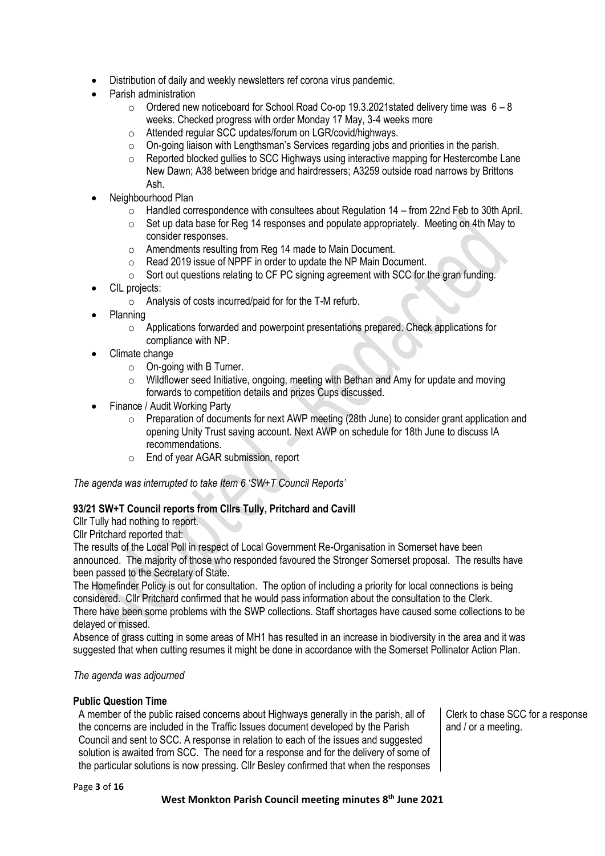- Distribution of daily and weekly newsletters ref corona virus pandemic.
- Parish administration
	- $\circ$  Ordered new noticeboard for School Road Co-op 19.3.2021 stated delivery time was 6 8 weeks. Checked progress with order Monday 17 May, 3-4 weeks more
	- o Attended regular SCC updates/forum on LGR/covid/highways.
	- o On-going liaison with Lengthsman's Services regarding jobs and priorities in the parish.
	- $\circ$  Reported blocked gullies to SCC Highways using interactive mapping for Hestercombe Lane New Dawn; A38 between bridge and hairdressers; A3259 outside road narrows by Brittons Ash.
- Neighbourhood Plan
	- $\circ$  Handled correspondence with consultees about Regulation 14 from 22nd Feb to 30th April.
	- $\circ$  Set up data base for Reg 14 responses and populate appropriately. Meeting on 4th May to consider responses.
	- o Amendments resulting from Reg 14 made to Main Document.
	- o Read 2019 issue of NPPF in order to update the NP Main Document.
	- $\circ$  Sort out questions relating to CF PC signing agreement with SCC for the gran funding.
- CIL projects:
	- o Analysis of costs incurred/paid for for the T-M refurb.
- Planning
	- o Applications forwarded and powerpoint presentations prepared. Check applications for compliance with NP.
- Climate change
	- o On-going with B Turner.
	- o Wildflower seed Initiative, ongoing, meeting with Bethan and Amy for update and moving forwards to competition details and prizes Cups discussed.
- Finance / Audit Working Party
	- o Preparation of documents for next AWP meeting (28th June) to consider grant application and opening Unity Trust saving account. Next AWP on schedule for 18th June to discuss IA recommendations.
	- o End of year AGAR submission, report

*The agenda was interrupted to take Item 6 'SW+T Council Reports'*

# **93/21 SW+T Council reports from Cllrs Tully, Pritchard and Cavill**

Cllr Tully had nothing to report.

Cllr Pritchard reported that:

The results of the Local Poll in respect of Local Government Re-Organisation in Somerset have been announced. The majority of those who responded favoured the Stronger Somerset proposal. The results have been passed to the Secretary of State.

The Homefinder Policy is out for consultation. The option of including a priority for local connections is being considered. Cllr Pritchard confirmed that he would pass information about the consultation to the Clerk. There have been some problems with the SWP collections. Staff shortages have caused some collections to be delayed or missed.

Absence of grass cutting in some areas of MH1 has resulted in an increase in biodiversity in the area and it was suggested that when cutting resumes it might be done in accordance with the Somerset Pollinator Action Plan.

#### *The agenda was adjourned*

# **Public Question Time**

A member of the public raised concerns about Highways generally in the parish, all of the concerns are included in the Traffic Issues document developed by the Parish Council and sent to SCC. A response in relation to each of the issues and suggested solution is awaited from SCC. The need for a response and for the delivery of some of the particular solutions is now pressing. Cllr Besley confirmed that when the responses Clerk to chase SCC for a response and / or a meeting.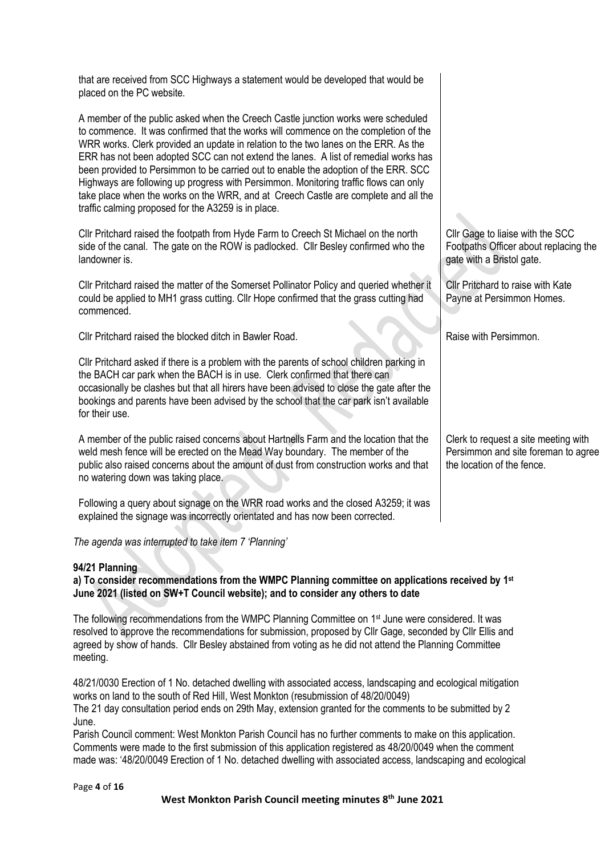that are received from SCC Highways a statement would be developed that would be placed on the PC website.

A member of the public asked when the Creech Castle junction works were scheduled to commence. It was confirmed that the works will commence on the completion of the WRR works. Clerk provided an update in relation to the two lanes on the ERR. As the ERR has not been adopted SCC can not extend the lanes. A list of remedial works has been provided to Persimmon to be carried out to enable the adoption of the ERR. SCC Highways are following up progress with Persimmon. Monitoring traffic flows can only take place when the works on the WRR, and at Creech Castle are complete and all the traffic calming proposed for the A3259 is in place.

Cllr Pritchard raised the footpath from Hyde Farm to Creech St Michael on the north side of the canal. The gate on the ROW is padlocked. Cllr Besley confirmed who the landowner is.

Cllr Pritchard raised the matter of the Somerset Pollinator Policy and queried whether it could be applied to MH1 grass cutting. Cllr Hope confirmed that the grass cutting had commenced.

Cllr Pritchard raised the blocked ditch in Bawler Road.

Cllr Pritchard asked if there is a problem with the parents of school children parking in the BACH car park when the BACH is in use. Clerk confirmed that there can occasionally be clashes but that all hirers have been advised to close the gate after the bookings and parents have been advised by the school that the car park isn't available for their use.

A member of the public raised concerns about Hartnells Farm and the location that the weld mesh fence will be erected on the Mead Way boundary. The member of the public also raised concerns about the amount of dust from construction works and that no watering down was taking place.

Following a query about signage on the WRR road works and the closed A3259; it was explained the signage was incorrectly orientated and has now been corrected.

*The agenda was interrupted to take item 7 'Planning'*

#### **94/21 Planning**

**a) To consider recommendations from the WMPC Planning committee on applications received by 1 st June 2021 (listed on SW+T Council website); and to consider any others to date**

The following recommendations from the WMPC Planning Committee on 1<sup>st</sup> June were considered. It was resolved to approve the recommendations for submission, proposed by Cllr Gage, seconded by Cllr Ellis and agreed by show of hands. Cllr Besley abstained from voting as he did not attend the Planning Committee meeting.

48/21/0030 Erection of 1 No. detached dwelling with associated access, landscaping and ecological mitigation works on land to the south of Red Hill, West Monkton (resubmission of 48/20/0049) The 21 day consultation period ends on 29th May, extension granted for the comments to be submitted by 2

June.

Parish Council comment: West Monkton Parish Council has no further comments to make on this application. Comments were made to the first submission of this application registered as 48/20/0049 when the comment made was: '48/20/0049 Erection of 1 No. detached dwelling with associated access, landscaping and ecological

Cllr Gage to liaise with the SCC Footpaths Officer about replacing the gate with a Bristol gate.

Cllr Pritchard to raise with Kate Payne at Persimmon Homes.

Raise with Persimmon.

Clerk to request a site meeting with Persimmon and site foreman to agree the location of the fence.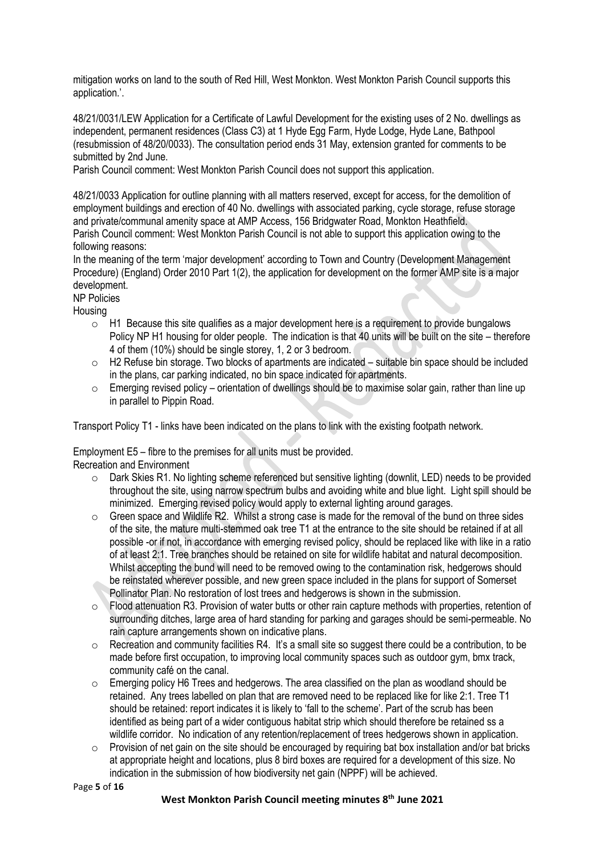mitigation works on land to the south of Red Hill, West Monkton. West Monkton Parish Council supports this application.'.

48/21/0031/LEW Application for a Certificate of Lawful Development for the existing uses of 2 No. dwellings as independent, permanent residences (Class C3) at 1 Hyde Egg Farm, Hyde Lodge, Hyde Lane, Bathpool (resubmission of 48/20/0033). The consultation period ends 31 May, extension granted for comments to be submitted by 2nd June.

Parish Council comment: West Monkton Parish Council does not support this application.

48/21/0033 Application for outline planning with all matters reserved, except for access, for the demolition of employment buildings and erection of 40 No. dwellings with associated parking, cycle storage, refuse storage and private/communal amenity space at AMP Access, 156 Bridgwater Road, Monkton Heathfield. Parish Council comment: West Monkton Parish Council is not able to support this application owing to the following reasons:

In the meaning of the term 'major development' according to Town and Country (Development Management Procedure) (England) Order 2010 Part 1(2), the application for development on the former AMP site is a major development.

NP Policies

Housing

- $\circ$  H1 Because this site qualifies as a major development here is a requirement to provide bungalows Policy NP H1 housing for older people. The indication is that 40 units will be built on the site – therefore 4 of them (10%) should be single storey, 1, 2 or 3 bedroom.
- o H2 Refuse bin storage. Two blocks of apartments are indicated suitable bin space should be included in the plans, car parking indicated, no bin space indicated for apartments.
- o Emerging revised policy orientation of dwellings should be to maximise solar gain, rather than line up in parallel to Pippin Road.

Transport Policy T1 - links have been indicated on the plans to link with the existing footpath network.

Employment E5 – fibre to the premises for all units must be provided.

Recreation and Environment

- $\circ$  Dark Skies R1. No lighting scheme referenced but sensitive lighting (downlit, LED) needs to be provided throughout the site, using narrow spectrum bulbs and avoiding white and blue light. Light spill should be minimized. Emerging revised policy would apply to external lighting around garages.
- $\circ$  Green space and Wildlife R2. Whilst a strong case is made for the removal of the bund on three sides of the site, the mature multi-stemmed oak tree T1 at the entrance to the site should be retained if at all possible -or if not, in accordance with emerging revised policy, should be replaced like with like in a ratio of at least 2:1. Tree branches should be retained on site for wildlife habitat and natural decomposition. Whilst accepting the bund will need to be removed owing to the contamination risk, hedgerows should be reinstated wherever possible, and new green space included in the plans for support of Somerset Pollinator Plan. No restoration of lost trees and hedgerows is shown in the submission.
- o Flood attenuation R3. Provision of water butts or other rain capture methods with properties, retention of surrounding ditches, large area of hard standing for parking and garages should be semi-permeable. No rain capture arrangements shown on indicative plans.
- $\circ$  Recreation and community facilities R4. It's a small site so suggest there could be a contribution, to be made before first occupation, to improving local community spaces such as outdoor gym, bmx track, community café on the canal.
- o Emerging policy H6 Trees and hedgerows. The area classified on the plan as woodland should be retained. Any trees labelled on plan that are removed need to be replaced like for like 2:1. Tree T1 should be retained: report indicates it is likely to 'fall to the scheme'. Part of the scrub has been identified as being part of a wider contiguous habitat strip which should therefore be retained ss a wildlife corridor. No indication of any retention/replacement of trees hedgerows shown in application.
- $\circ$  Provision of net gain on the site should be encouraged by requiring bat box installation and/or bat bricks at appropriate height and locations, plus 8 bird boxes are required for a development of this size. No indication in the submission of how biodiversity net gain (NPPF) will be achieved.

Page **5** of **16**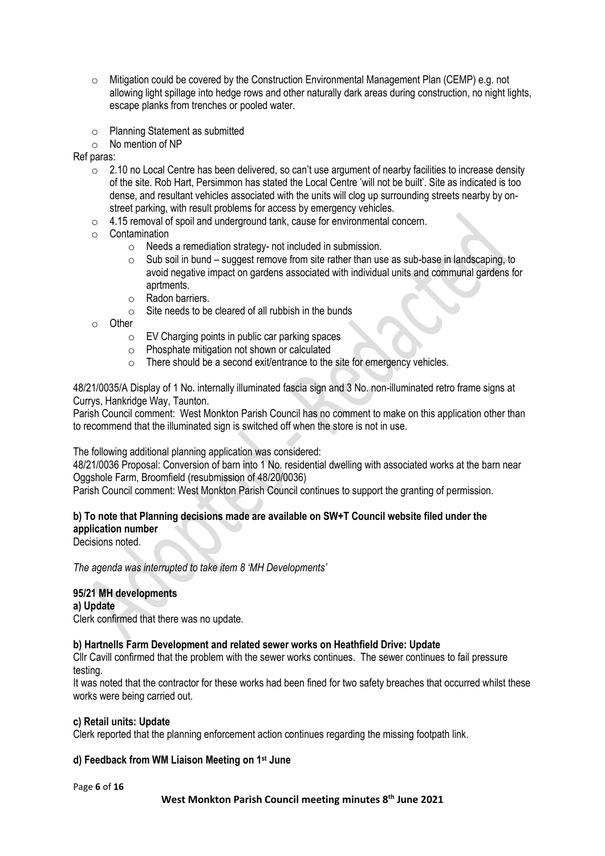- $\circ$  Mitigation could be covered by the Construction Environmental Management Plan (CEMP) e.g. not allowing light spillage into hedge rows and other naturally dark areas during construction, no night lights, escape planks from trenches or pooled water.
- o Planning Statement as submitted
- o No mention of NP

Ref paras:

- $\circ$  2.10 no Local Centre has been delivered, so can't use argument of nearby facilities to increase density of the site. Rob Hart, Persimmon has stated the Local Centre 'will not be built'. Site as indicated is too dense, and resultant vehicles associated with the units will clog up surrounding streets nearby by onstreet parking, with result problems for access by emergency vehicles.
- o 4.15 removal of spoil and underground tank, cause for environmental concern.
- o Contamination
	- o Needs a remediation strategy- not included in submission.
	- $\circ$  Sub soil in bund suggest remove from site rather than use as sub-base in landscaping, to avoid negative impact on gardens associated with individual units and communal gardens for aprtments.
	- o Radon barriers.
	- $\circ$  Site needs to be cleared of all rubbish in the bunds
- o Other
	- $\circ$  EV Charging points in public car parking spaces
	- o Phosphate mitigation not shown or calculated
	- o There should be a second exit/entrance to the site for emergency vehicles.

48/21/0035/A Display of 1 No. internally illuminated fascia sign and 3 No. non-illuminated retro frame signs at Currys, Hankridge Way, Taunton.

Parish Council comment: West Monkton Parish Council has no comment to make on this application other than to recommend that the illuminated sign is switched off when the store is not in use.

The following additional planning application was considered:

48/21/0036 Proposal: Conversion of barn into 1 No. residential dwelling with associated works at the barn near Oggshole Farm, Broomfield (resubmission of 48/20/0036)

Parish Council comment: West Monkton Parish Council continues to support the granting of permission.

#### **b) To note that Planning decisions made are available on SW+T Council website filed under the application number**

Decisions noted.

*The agenda was interrupted to take item 8 'MH Developments'*

# **95/21 MH developments**

**a) Update** 

Clerk confirmed that there was no update.

#### **b) Hartnells Farm Development and related sewer works on Heathfield Drive: Update**

Cllr Cavill confirmed that the problem with the sewer works continues. The sewer continues to fail pressure testing.

It was noted that the contractor for these works had been fined for two safety breaches that occurred whilst these works were being carried out.

#### **c) Retail units: Update**

Clerk reported that the planning enforcement action continues regarding the missing footpath link.

#### **d) Feedback from WM Liaison Meeting on 1 st June**

Page **6** of **16**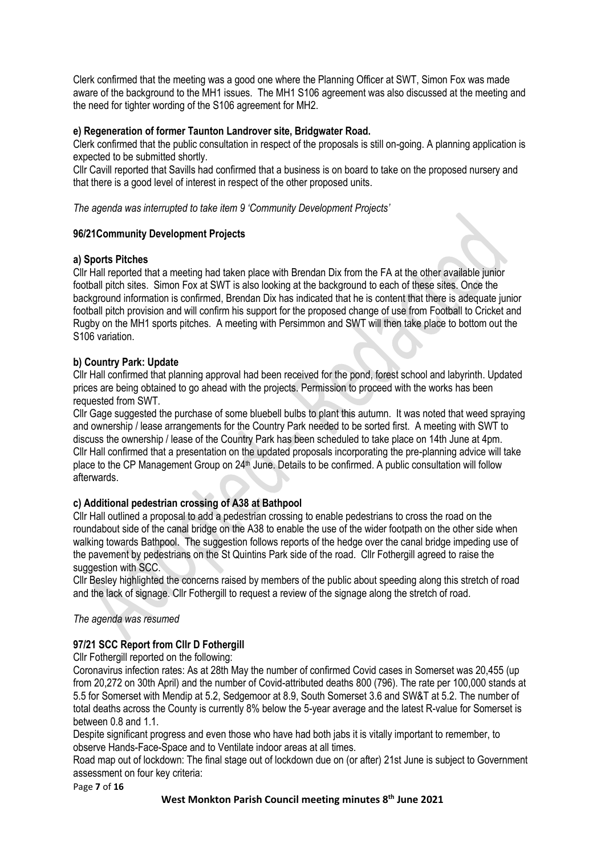Clerk confirmed that the meeting was a good one where the Planning Officer at SWT, Simon Fox was made aware of the background to the MH1 issues. The MH1 S106 agreement was also discussed at the meeting and the need for tighter wording of the S106 agreement for MH2.

# **e) Regeneration of former Taunton Landrover site, Bridgwater Road.**

Clerk confirmed that the public consultation in respect of the proposals is still on-going. A planning application is expected to be submitted shortly.

Cllr Cavill reported that Savills had confirmed that a business is on board to take on the proposed nursery and that there is a good level of interest in respect of the other proposed units.

*The agenda was interrupted to take item 9 'Community Development Projects'*

# **96/21Community Development Projects**

# **a) Sports Pitches**

Cllr Hall reported that a meeting had taken place with Brendan Dix from the FA at the other available junior football pitch sites. Simon Fox at SWT is also looking at the background to each of these sites. Once the background information is confirmed, Brendan Dix has indicated that he is content that there is adequate junior football pitch provision and will confirm his support for the proposed change of use from Football to Cricket and Rugby on the MH1 sports pitches. A meeting with Persimmon and SWT will then take place to bottom out the S106 variation.

# **b) Country Park: Update**

Cllr Hall confirmed that planning approval had been received for the pond, forest school and labyrinth. Updated prices are being obtained to go ahead with the projects. Permission to proceed with the works has been requested from SWT.

Cllr Gage suggested the purchase of some bluebell bulbs to plant this autumn. It was noted that weed spraying and ownership / lease arrangements for the Country Park needed to be sorted first. A meeting with SWT to discuss the ownership / lease of the Country Park has been scheduled to take place on 14th June at 4pm. Cllr Hall confirmed that a presentation on the updated proposals incorporating the pre-planning advice will take place to the CP Management Group on  $24<sup>th</sup>$  June. Details to be confirmed. A public consultation will follow afterwards.

# **c) Additional pedestrian crossing of A38 at Bathpool**

Cllr Hall outlined a proposal to add a pedestrian crossing to enable pedestrians to cross the road on the roundabout side of the canal bridge on the A38 to enable the use of the wider footpath on the other side when walking towards Bathpool. The suggestion follows reports of the hedge over the canal bridge impeding use of the pavement by pedestrians on the St Quintins Park side of the road. Cllr Fothergill agreed to raise the suggestion with SCC.

Cllr Besley highlighted the concerns raised by members of the public about speeding along this stretch of road and the lack of signage. Cllr Fothergill to request a review of the signage along the stretch of road.

#### *The agenda was resumed*

# **97/21 SCC Report from Cllr D Fothergill**

Cllr Fothergill reported on the following:

Coronavirus infection rates: As at 28th May the number of confirmed Covid cases in Somerset was 20,455 (up from 20,272 on 30th April) and the number of Covid-attributed deaths 800 (796). The rate per 100,000 stands at 5.5 for Somerset with Mendip at 5.2, Sedgemoor at 8.9, South Somerset 3.6 and SW&T at 5.2. The number of total deaths across the County is currently 8% below the 5-year average and the latest R-value for Somerset is between 0.8 and 1.1.

Despite significant progress and even those who have had both jabs it is vitally important to remember, to observe Hands-Face-Space and to Ventilate indoor areas at all times.

Road map out of lockdown: The final stage out of lockdown due on (or after) 21st June is subject to Government assessment on four key criteria:

Page **7** of **16**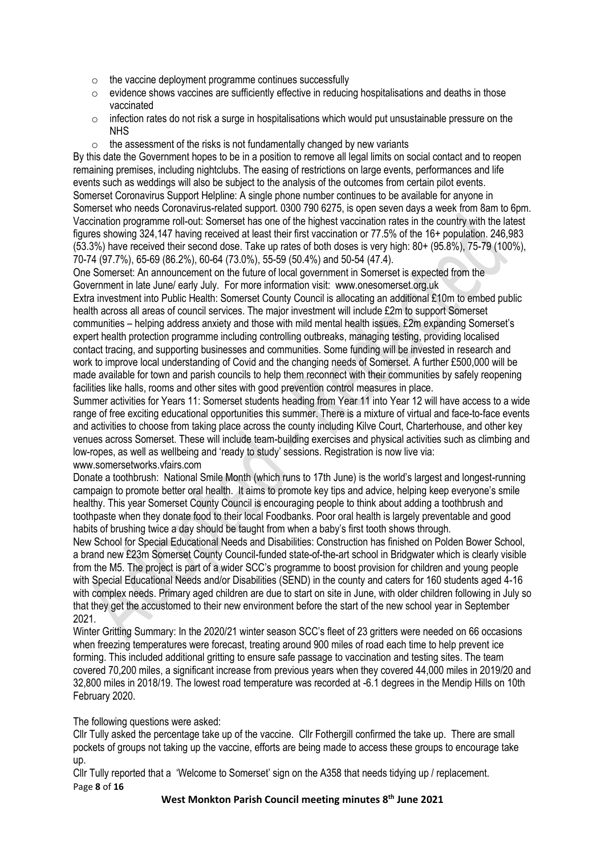- $\circ$  the vaccine deployment programme continues successfully
- $\circ$  evidence shows vaccines are sufficiently effective in reducing hospitalisations and deaths in those vaccinated
- $\circ$  infection rates do not risk a surge in hospitalisations which would put unsustainable pressure on the NHS
- $\circ$  the assessment of the risks is not fundamentally changed by new variants

By this date the Government hopes to be in a position to remove all legal limits on social contact and to reopen remaining premises, including nightclubs. The easing of restrictions on large events, performances and life events such as weddings will also be subject to the analysis of the outcomes from certain pilot events. Somerset Coronavirus Support Helpline: A single phone number continues to be available for anyone in Somerset who needs Coronavirus-related support. 0300 790 6275, is open seven days a week from 8am to 6pm. Vaccination programme roll-out: Somerset has one of the highest vaccination rates in the country with the latest figures showing 324,147 having received at least their first vaccination or 77.5% of the 16+ population. 246,983 (53.3%) have received their second dose. Take up rates of both doses is very high: 80+ (95.8%), 75-79 (100%), 70-74 (97.7%), 65-69 (86.2%), 60-64 (73.0%), 55-59 (50.4%) and 50-54 (47.4).

One Somerset: An announcement on the future of local government in Somerset is expected from the Government in late June/ early July. For more information visit: www.onesomerset.org.uk

Extra investment into Public Health: Somerset County Council is allocating an additional £10m to embed public health across all areas of council services. The major investment will include £2m to support Somerset communities – helping address anxiety and those with mild mental health issues. £2m expanding Somerset's expert health protection programme including controlling outbreaks, managing testing, providing localised contact tracing, and supporting businesses and communities. Some funding will be invested in research and work to improve local understanding of Covid and the changing needs of Somerset. A further £500,000 will be made available for town and parish councils to help them reconnect with their communities by safely reopening facilities like halls, rooms and other sites with good prevention control measures in place.

Summer activities for Years 11: Somerset students heading from Year 11 into Year 12 will have access to a wide range of free exciting educational opportunities this summer. There is a mixture of virtual and face-to-face events and activities to choose from taking place across the county including Kilve Court, Charterhouse, and other key venues across Somerset. These will include team-building exercises and physical activities such as climbing and low-ropes, as well as wellbeing and 'ready to study' sessions. Registration is now live via: www.somersetworks.vfairs.com

Donate a toothbrush: National Smile Month (which runs to 17th June) is the world's largest and longest-running campaign to promote better oral health. It aims to promote key tips and advice, helping keep everyone's smile healthy. This year Somerset County Council is encouraging people to think about adding a toothbrush and toothpaste when they donate food to their local Foodbanks. Poor oral health is largely preventable and good habits of brushing twice a day should be taught from when a baby's first tooth shows through.

New School for Special Educational Needs and Disabilities: Construction has finished on Polden Bower School, a brand new £23m Somerset County Council-funded state-of-the-art school in Bridgwater which is clearly visible from the M5. The project is part of a wider SCC's programme to boost provision for children and young people with Special Educational Needs and/or Disabilities (SEND) in the county and caters for 160 students aged 4-16 with complex needs. Primary aged children are due to start on site in June, with older children following in July so that they get the accustomed to their new environment before the start of the new school year in September 2021.

Winter Gritting Summary: In the 2020/21 winter season SCC's fleet of 23 gritters were needed on 66 occasions when freezing temperatures were forecast, treating around 900 miles of road each time to help prevent ice forming. This included additional gritting to ensure safe passage to vaccination and testing sites. The team covered 70,200 miles, a significant increase from previous years when they covered 44,000 miles in 2019/20 and 32,800 miles in 2018/19. The lowest road temperature was recorded at -6.1 degrees in the Mendip Hills on 10th February 2020.

The following questions were asked:

Cllr Tully asked the percentage take up of the vaccine. Cllr Fothergill confirmed the take up. There are small pockets of groups not taking up the vaccine, efforts are being made to access these groups to encourage take up.

Page **8** of **16** Cllr Tully reported that a 'Welcome to Somerset' sign on the A358 that needs tidying up / replacement.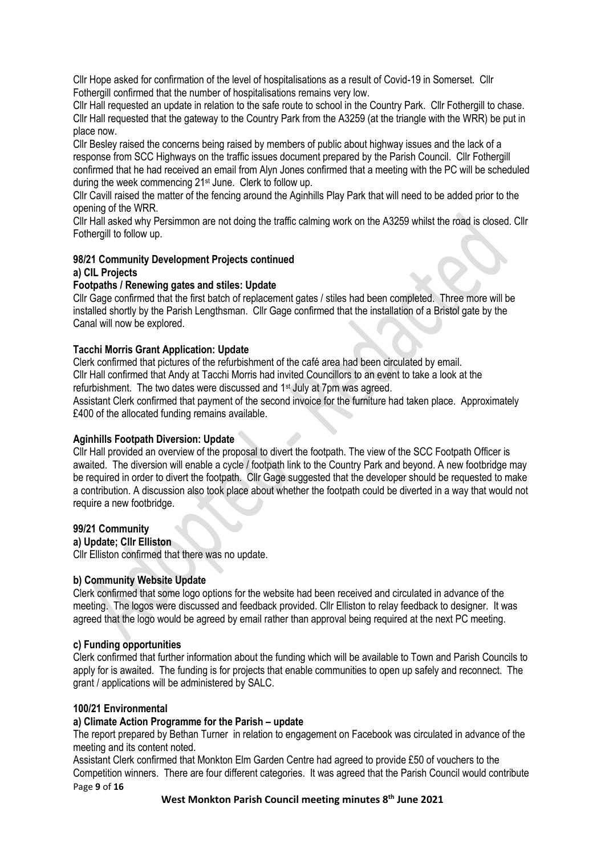Cllr Hope asked for confirmation of the level of hospitalisations as a result of Covid-19 in Somerset. Cllr Fothergill confirmed that the number of hospitalisations remains very low.

Cllr Hall requested an update in relation to the safe route to school in the Country Park. Cllr Fothergill to chase. Cllr Hall requested that the gateway to the Country Park from the A3259 (at the triangle with the WRR) be put in place now.

Cllr Besley raised the concerns being raised by members of public about highway issues and the lack of a response from SCC Highways on the traffic issues document prepared by the Parish Council. Cllr Fothergill confirmed that he had received an email from Alyn Jones confirmed that a meeting with the PC will be scheduled during the week commencing 21<sup>st</sup> June. Clerk to follow up.

Cllr Cavill raised the matter of the fencing around the Aginhills Play Park that will need to be added prior to the opening of the WRR.

Cllr Hall asked why Persimmon are not doing the traffic calming work on the A3259 whilst the road is closed. Cllr Fothergill to follow up.

# **98/21 Community Development Projects continued a) CIL Projects**

# **Footpaths / Renewing gates and stiles: Update**

Cllr Gage confirmed that the first batch of replacement gates / stiles had been completed. Three more will be installed shortly by the Parish Lengthsman. Cllr Gage confirmed that the installation of a Bristol gate by the Canal will now be explored.

# **Tacchi Morris Grant Application: Update**

Clerk confirmed that pictures of the refurbishment of the café area had been circulated by email. Cllr Hall confirmed that Andy at Tacchi Morris had invited Councillors to an event to take a look at the refurbishment. The two dates were discussed and 1st July at 7pm was agreed.

Assistant Clerk confirmed that payment of the second invoice for the furniture had taken place. Approximately £400 of the allocated funding remains available.

#### **Aginhills Footpath Diversion: Update**

Cllr Hall provided an overview of the proposal to divert the footpath. The view of the SCC Footpath Officer is awaited. The diversion will enable a cycle / footpath link to the Country Park and beyond. A new footbridge may be required in order to divert the footpath. Cllr Gage suggested that the developer should be requested to make a contribution. A discussion also took place about whether the footpath could be diverted in a way that would not require a new footbridge.

#### **99/21 Community**

**a) Update; Cllr Elliston**

Cllr Elliston confirmed that there was no update.

#### **b) Community Website Update**

Clerk confirmed that some logo options for the website had been received and circulated in advance of the meeting. The logos were discussed and feedback provided. Cllr Elliston to relay feedback to designer. It was agreed that the logo would be agreed by email rather than approval being required at the next PC meeting.

#### **c) Funding opportunities**

Clerk confirmed that further information about the funding which will be available to Town and Parish Councils to apply for is awaited. The funding is for projects that enable communities to open up safely and reconnect. The grant / applications will be administered by SALC.

#### **100/21 Environmental**

#### **a) Climate Action Programme for the Parish – update**

The report prepared by Bethan Turner in relation to engagement on Facebook was circulated in advance of the meeting and its content noted.

Page **9** of **16** Assistant Clerk confirmed that Monkton Elm Garden Centre had agreed to provide £50 of vouchers to the Competition winners. There are four different categories. It was agreed that the Parish Council would contribute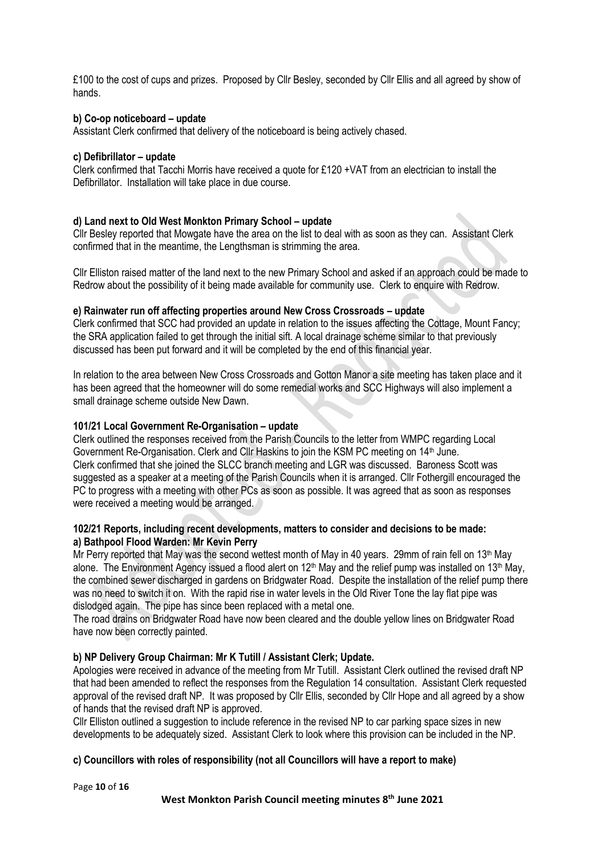£100 to the cost of cups and prizes. Proposed by Cllr Besley, seconded by Cllr Ellis and all agreed by show of hands.

#### **b) Co-op noticeboard – update**

Assistant Clerk confirmed that delivery of the noticeboard is being actively chased.

#### **c) Defibrillator – update**

Clerk confirmed that Tacchi Morris have received a quote for £120 +VAT from an electrician to install the Defibrillator. Installation will take place in due course.

# **d) Land next to Old West Monkton Primary School – update**

Cllr Besley reported that Mowgate have the area on the list to deal with as soon as they can. Assistant Clerk confirmed that in the meantime, the Lengthsman is strimming the area.

Cllr Elliston raised matter of the land next to the new Primary School and asked if an approach could be made to Redrow about the possibility of it being made available for community use. Clerk to enquire with Redrow.

# **e) Rainwater run off affecting properties around New Cross Crossroads – update**

Clerk confirmed that SCC had provided an update in relation to the issues affecting the Cottage, Mount Fancy; the SRA application failed to get through the initial sift. A local drainage scheme similar to that previously discussed has been put forward and it will be completed by the end of this financial year.

In relation to the area between New Cross Crossroads and Gotton Manor a site meeting has taken place and it has been agreed that the homeowner will do some remedial works and SCC Highways will also implement a small drainage scheme outside New Dawn.

#### **101/21 Local Government Re-Organisation – update**

Clerk outlined the responses received from the Parish Councils to the letter from WMPC regarding Local Government Re-Organisation. Clerk and Cllr Haskins to join the KSM PC meeting on 14th June. Clerk confirmed that she joined the SLCC branch meeting and LGR was discussed. Baroness Scott was suggested as a speaker at a meeting of the Parish Councils when it is arranged. Cllr Fothergill encouraged the PC to progress with a meeting with other PCs as soon as possible. It was agreed that as soon as responses were received a meeting would be arranged.

# **102/21 Reports, including recent developments, matters to consider and decisions to be made: a) Bathpool Flood Warden: Mr Kevin Perry**

Mr Perry reported that May was the second wettest month of May in 40 years. 29mm of rain fell on 13<sup>th</sup> May alone. The Environment Agency issued a flood alert on 12<sup>th</sup> May and the relief pump was installed on 13<sup>th</sup> May, the combined sewer discharged in gardens on Bridgwater Road. Despite the installation of the relief pump there was no need to switch it on. With the rapid rise in water levels in the Old River Tone the lay flat pipe was dislodged again. The pipe has since been replaced with a metal one.

The road drains on Bridgwater Road have now been cleared and the double yellow lines on Bridgwater Road have now been correctly painted.

#### **b) NP Delivery Group Chairman: Mr K Tutill / Assistant Clerk; Update.**

Apologies were received in advance of the meeting from Mr Tutill. Assistant Clerk outlined the revised draft NP that had been amended to reflect the responses from the Regulation 14 consultation. Assistant Clerk requested approval of the revised draft NP. It was proposed by Cllr Ellis, seconded by Cllr Hope and all agreed by a show of hands that the revised draft NP is approved.

Cllr Elliston outlined a suggestion to include reference in the revised NP to car parking space sizes in new developments to be adequately sized. Assistant Clerk to look where this provision can be included in the NP.

# **c) Councillors with roles of responsibility (not all Councillors will have a report to make)**

Page **10** of **16**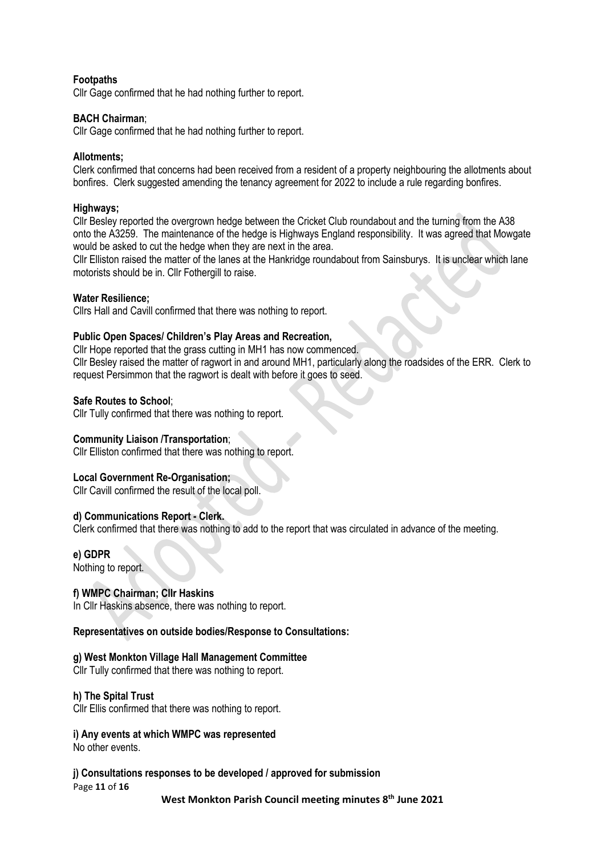# **Footpaths**

Cllr Gage confirmed that he had nothing further to report.

# **BACH Chairman**;

Cllr Gage confirmed that he had nothing further to report.

# **Allotments;**

Clerk confirmed that concerns had been received from a resident of a property neighbouring the allotments about bonfires. Clerk suggested amending the tenancy agreement for 2022 to include a rule regarding bonfires.

#### **Highways;**

Cllr Besley reported the overgrown hedge between the Cricket Club roundabout and the turning from the A38 onto the A3259. The maintenance of the hedge is Highways England responsibility. It was agreed that Mowgate would be asked to cut the hedge when they are next in the area.

Cllr Elliston raised the matter of the lanes at the Hankridge roundabout from Sainsburys. It is unclear which lane motorists should be in. Cllr Fothergill to raise.

# **Water Resilience;**

Cllrs Hall and Cavill confirmed that there was nothing to report.

# **Public Open Spaces/ Children's Play Areas and Recreation,**

Cllr Hope reported that the grass cutting in MH1 has now commenced. Cllr Besley raised the matter of ragwort in and around MH1, particularly along the roadsides of the ERR. Clerk to request Persimmon that the ragwort is dealt with before it goes to seed.

# **Safe Routes to School**;

Cllr Tully confirmed that there was nothing to report.

#### **Community Liaison /Transportation**;

Cllr Elliston confirmed that there was nothing to report.

#### **Local Government Re-Organisation;**

Cllr Cavill confirmed the result of the local poll.

#### **d) Communications Report - Clerk.**

Clerk confirmed that there was nothing to add to the report that was circulated in advance of the meeting.

#### **e) GDPR**

Nothing to report.

# **f) WMPC Chairman; Cllr Haskins**

In Cllr Haskins absence, there was nothing to report.

#### **Representatives on outside bodies/Response to Consultations:**

#### **g) West Monkton Village Hall Management Committee**

Cllr Tully confirmed that there was nothing to report.

#### **h) The Spital Trust**

Cllr Ellis confirmed that there was nothing to report.

# **i) Any events at which WMPC was represented**

No other events.

#### **j) Consultations responses to be developed / approved for submission**

Page **11** of **16**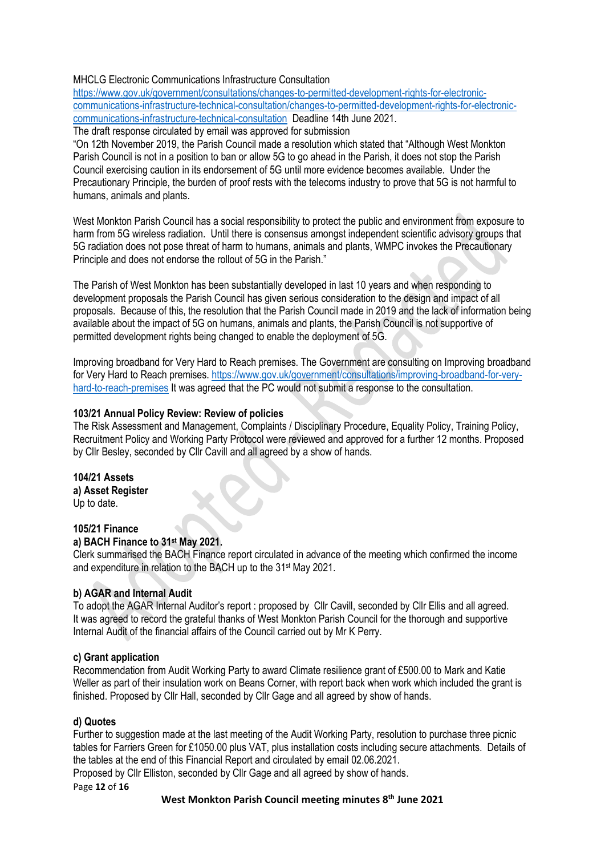# MHCLG Electronic Communications Infrastructure Consultation

[https://www.gov.uk/government/consultations/changes-to-permitted-development-rights-for-electronic](https://www.gov.uk/government/consultations/changes-to-permitted-development-rights-for-electronic-communications-infrastructure-technical-consultation/changes-to-permitted-development-rights-for-electronic-communications-infrastructure-technical-consultation)[communications-infrastructure-technical-consultation/changes-to-permitted-development-rights-for-electronic](https://www.gov.uk/government/consultations/changes-to-permitted-development-rights-for-electronic-communications-infrastructure-technical-consultation/changes-to-permitted-development-rights-for-electronic-communications-infrastructure-technical-consultation)[communications-infrastructure-technical-consultation](https://www.gov.uk/government/consultations/changes-to-permitted-development-rights-for-electronic-communications-infrastructure-technical-consultation/changes-to-permitted-development-rights-for-electronic-communications-infrastructure-technical-consultation) Deadline 14th June 2021.

The draft response circulated by email was approved for submission

"On 12th November 2019, the Parish Council made a resolution which stated that "Although West Monkton Parish Council is not in a position to ban or allow 5G to go ahead in the Parish, it does not stop the Parish Council exercising caution in its endorsement of 5G until more evidence becomes available. Under the Precautionary Principle, the burden of proof rests with the telecoms industry to prove that 5G is not harmful to humans, animals and plants.

West Monkton Parish Council has a social responsibility to protect the public and environment from exposure to harm from 5G wireless radiation. Until there is consensus amongst independent scientific advisory groups that 5G radiation does not pose threat of harm to humans, animals and plants, WMPC invokes the Precautionary Principle and does not endorse the rollout of 5G in the Parish."

The Parish of West Monkton has been substantially developed in last 10 years and when responding to development proposals the Parish Council has given serious consideration to the design and impact of all proposals. Because of this, the resolution that the Parish Council made in 2019 and the lack of information being available about the impact of 5G on humans, animals and plants, the Parish Council is not supportive of permitted development rights being changed to enable the deployment of 5G.

Improving broadband for Very Hard to Reach premises. The Government are consulting on Improving broadband for Very Hard to Reach premises. [https://www.gov.uk/government/consultations/improving-broadband-for-very](https://www.gov.uk/government/consultations/improving-broadband-for-very-hard-to-reach-premises)[hard-to-reach-premises](https://www.gov.uk/government/consultations/improving-broadband-for-very-hard-to-reach-premises) It was agreed that the PC would not submit a response to the consultation.

# **103/21 Annual Policy Review: Review of policies**

The Risk Assessment and Management, Complaints / Disciplinary Procedure, Equality Policy, Training Policy, Recruitment Policy and Working Party Protocol were reviewed and approved for a further 12 months. Proposed by Cllr Besley, seconded by Cllr Cavill and all agreed by a show of hands.

**104/21 Assets a) Asset Register**  Up to date.

# **105/21 Finance**

# **a) BACH Finance to 31 st May 2021.**

Clerk summarised the BACH Finance report circulated in advance of the meeting which confirmed the income and expenditure in relation to the BACH up to the 31 st May 2021.

# **b) AGAR and Internal Audit**

To adopt the AGAR Internal Auditor's report : proposed by Cllr Cavill, seconded by Cllr Ellis and all agreed. It was agreed to record the grateful thanks of West Monkton Parish Council for the thorough and supportive Internal Audit of the financial affairs of the Council carried out by Mr K Perry.

# **c) Grant application**

Recommendation from Audit Working Party to award Climate resilience grant of £500.00 to Mark and Katie Weller as part of their insulation work on Beans Corner, with report back when work which included the grant is finished. Proposed by Cllr Hall, seconded by Cllr Gage and all agreed by show of hands.

# **d) Quotes**

Further to suggestion made at the last meeting of the Audit Working Party, resolution to purchase three picnic tables for Farriers Green for £1050.00 plus VAT, plus installation costs including secure attachments. Details of the tables at the end of this Financial Report and circulated by email 02.06.2021.

Proposed by Cllr Elliston, seconded by Cllr Gage and all agreed by show of hands.

Page **12** of **16**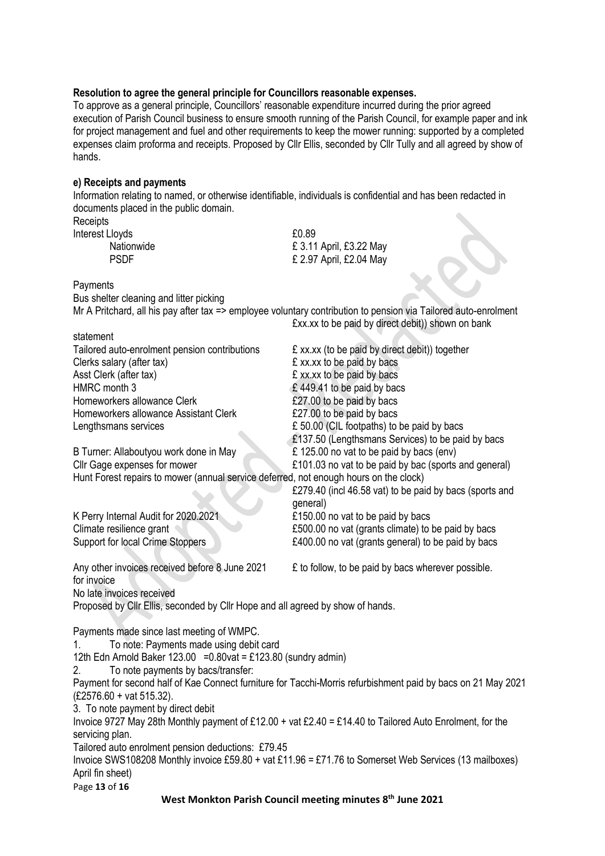#### **Resolution to agree the general principle for Councillors reasonable expenses.**

To approve as a general principle, Councillors' reasonable expenditure incurred during the prior agreed execution of Parish Council business to ensure smooth running of the Parish Council, for example paper and ink for project management and fuel and other requirements to keep the mower running: supported by a completed expenses claim proforma and receipts. Proposed by Cllr Ellis, seconded by Cllr Tully and all agreed by show of hands.

#### **e) Receipts and payments**

Information relating to named, or otherwise identifiable, individuals is confidential and has been redacted in documents placed in the public domain.

**Receipts** Interest Lloyds 60.89

Nationwide **E** 3.11 April, £3.22 May PSDF £ 2.97 April, £2.04 May

**Payments** 

Bus shelter cleaning and litter picking

Mr A Pritchard, all his pay after tax => employee voluntary contribution to pension via Tailored auto-enrolment £xx.xx to be paid by direct debit)) shown on bank

Page **13** of **16 West Monkton Parish Council meeting minutes 8 th June 2021** statement Tailored auto-enrolment pension contributions £ xx.xx (to be paid by direct debit)) together Clerks salary (after tax)  $\mathbf{f}$  xx.xx to be paid by bacs Asst Clerk (after tax)  $\&$  xx.xx to be paid by bacs HMRC month 3 6 and 5 and 5 and 5 and 5 and 5 and 5 and 5 and 5 and 5 and 5 and 5 and 5 and 5 and 5 and 5 and 5 and 5 and 5 and 5 and 5 and 5 and 5 and 5 and 5 and 5 and 5 and 5 and 5 and 5 and 5 and 5 and 5 and 5 and 5 and Homeworkers allowance Clerk **E27.00** to be paid by bacs Homeworkers allowance Assistant Clerk **E27.00** to be paid by bacs Lengthsmans services  $\epsilon$  50.00 (CIL footpaths) to be paid by bacs £137.50 (Lengthsmans Services) to be paid by bacs B Turner: Allaboutyou work done in May **E** 125.00 no vat to be paid by bacs (env) Cllr Gage expenses for mower £101.03 no vat to be paid by bac (sports and general) Hunt Forest repairs to mower (annual service deferred, not enough hours on the clock) £279.40 (incl 46.58 vat) to be paid by bacs (sports and general) K Perry Internal Audit for 2020.2021 **E150.00** no vat to be paid by bacs Climate resilience grant Support for local Crime Stoppers **E400.00** no vat (grants general) to be paid by bacs Any other invoices received before 8 June 2021 E to follow, to be paid by bacs wherever possible. for invoice No late invoices received Proposed by Cllr Ellis, seconded by Cllr Hope and all agreed by show of hands. Payments made since last meeting of WMPC. 1. To note: Payments made using debit card 12th Edn Arnold Baker 123.00 =  $0.80$ vat = £123.80 (sundry admin) 2. To note payments by bacs/transfer: Payment for second half of Kae Connect furniture for Tacchi-Morris refurbishment paid by bacs on 21 May 2021 (£2576.60 + vat 515.32). 3. To note payment by direct debit Invoice 9727 May 28th Monthly payment of £12.00 + vat £2.40 = £14.40 to Tailored Auto Enrolment, for the servicing plan. Tailored auto enrolment pension deductions: £79.45 Invoice SWS108208 Monthly invoice £59.80 + vat £11.96 = £71.76 to Somerset Web Services (13 mailboxes) April fin sheet)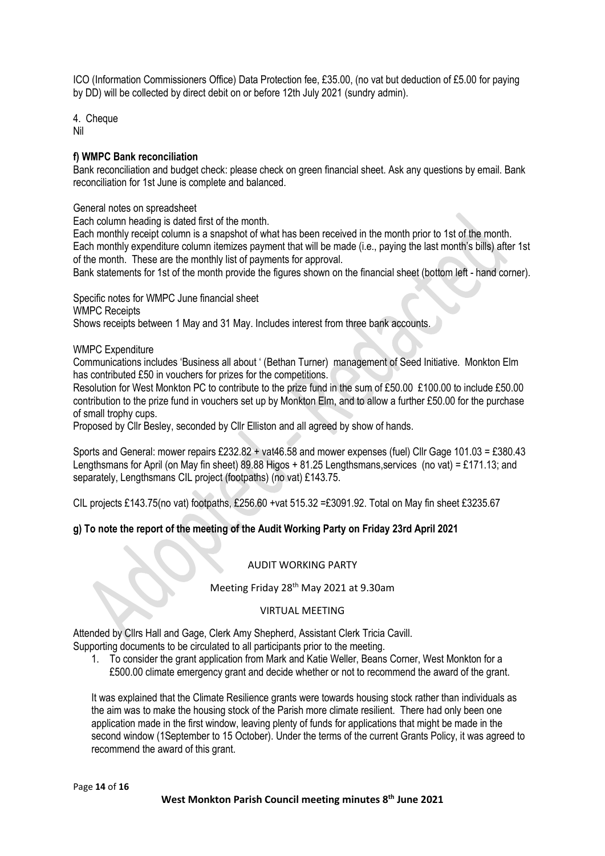ICO (Information Commissioners Office) Data Protection fee, £35.00, (no vat but deduction of £5.00 for paying by DD) will be collected by direct debit on or before 12th July 2021 (sundry admin).

4. Cheque Nil

# **f) WMPC Bank reconciliation**

Bank reconciliation and budget check: please check on green financial sheet. Ask any questions by email. Bank reconciliation for 1st June is complete and balanced.

General notes on spreadsheet

Each column heading is dated first of the month.

Each monthly receipt column is a snapshot of what has been received in the month prior to 1st of the month. Each monthly expenditure column itemizes payment that will be made (i.e., paying the last month's bills) after 1st of the month. These are the monthly list of payments for approval.

Bank statements for 1st of the month provide the figures shown on the financial sheet (bottom left - hand corner).

Specific notes for WMPC June financial sheet WMPC Receipts Shows receipts between 1 May and 31 May. Includes interest from three bank accounts.

WMPC Expenditure

Communications includes 'Business all about ' (Bethan Turner) management of Seed Initiative. Monkton Elm has contributed £50 in vouchers for prizes for the competitions.

Resolution for West Monkton PC to contribute to the prize fund in the sum of £50.00 £100.00 to include £50.00 contribution to the prize fund in vouchers set up by Monkton Elm, and to allow a further £50.00 for the purchase of small trophy cups.

Proposed by Cllr Besley, seconded by Cllr Elliston and all agreed by show of hands.

Sports and General: mower repairs £232.82 + vat46.58 and mower expenses (fuel) Cllr Gage 101.03 = £380.43 Lengthsmans for April (on May fin sheet) 89.88 Higos + 81.25 Lengthsmans,services (no vat) = £171.13; and separately, Lengthsmans CIL project (footpaths) (no vat) £143.75.

CIL projects £143.75(no vat) footpaths, £256.60 +vat 515.32 =£3091.92. Total on May fin sheet £3235.67

# **g) To note the report of the meeting of the Audit Working Party on Friday 23rd April 2021**

#### AUDIT WORKING PARTY

Meeting Friday 28<sup>th</sup> May 2021 at 9.30am

#### VIRTUAL MEETING

Attended by Cllrs Hall and Gage, Clerk Amy Shepherd, Assistant Clerk Tricia Cavill.

Supporting documents to be circulated to all participants prior to the meeting.

1. To consider the grant application from Mark and Katie Weller, Beans Corner, West Monkton for a £500.00 climate emergency grant and decide whether or not to recommend the award of the grant.

It was explained that the Climate Resilience grants were towards housing stock rather than individuals as the aim was to make the housing stock of the Parish more climate resilient. There had only been one application made in the first window, leaving plenty of funds for applications that might be made in the second window (1September to 15 October). Under the terms of the current Grants Policy, it was agreed to recommend the award of this grant.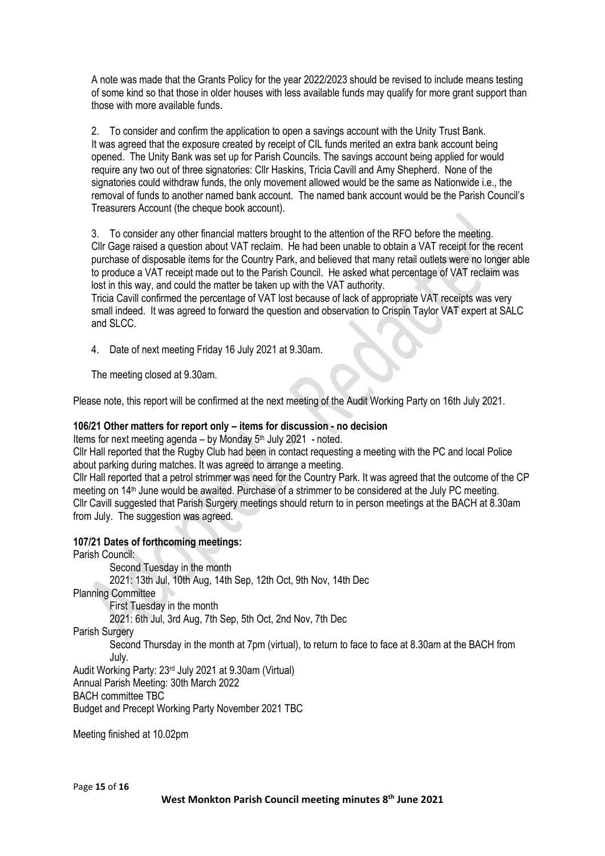A note was made that the Grants Policy for the year 2022/2023 should be revised to include means testing of some kind so that those in older houses with less available funds may qualify for more grant support than those with more available funds.

2. To consider and confirm the application to open a savings account with the Unity Trust Bank. It was agreed that the exposure created by receipt of CIL funds merited an extra bank account being opened. The Unity Bank was set up for Parish Councils. The savings account being applied for would require any two out of three signatories: Cllr Haskins, Tricia Cavill and Amy Shepherd. None of the signatories could withdraw funds, the only movement allowed would be the same as Nationwide i.e., the removal of funds to another named bank account. The named bank account would be the Parish Council's Treasurers Account (the cheque book account).

3. To consider any other financial matters brought to the attention of the RFO before the meeting. Cllr Gage raised a question about VAT reclaim. He had been unable to obtain a VAT receipt for the recent purchase of disposable items for the Country Park, and believed that many retail outlets were no longer able to produce a VAT receipt made out to the Parish Council. He asked what percentage of VAT reclaim was lost in this way, and could the matter be taken up with the VAT authority.

Tricia Cavill confirmed the percentage of VAT lost because of lack of appropriate VAT receipts was very small indeed. It was agreed to forward the question and observation to Crispin Taylor VAT expert at SALC and SLCC.

4. Date of next meeting Friday 16 July 2021 at 9.30am.

The meeting closed at 9.30am.

Please note, this report will be confirmed at the next meeting of the Audit Working Party on 16th July 2021.

# **106/21 Other matters for report only – items for discussion - no decision**

Items for next meeting agenda – by Monday  $5<sup>th</sup>$  July 2021 - noted.

Cllr Hall reported that the Rugby Club had been in contact requesting a meeting with the PC and local Police about parking during matches. It was agreed to arrange a meeting.

Cllr Hall reported that a petrol strimmer was need for the Country Park. It was agreed that the outcome of the CP meeting on 14th June would be awaited. Purchase of a strimmer to be considered at the July PC meeting. Cllr Cavill suggested that Parish Surgery meetings should return to in person meetings at the BACH at 8.30am from July. The suggestion was agreed.

# **107/21 Dates of forthcoming meetings:**

Parish Council:

Second Tuesday in the month 2021: 13th Jul, 10th Aug, 14th Sep, 12th Oct, 9th Nov, 14th Dec Planning Committee First Tuesday in the month 2021: 6th Jul, 3rd Aug, 7th Sep, 5th Oct, 2nd Nov, 7th Dec Parish Surgery Second Thursday in the month at 7pm (virtual), to return to face to face at 8.30am at the BACH from July. Audit Working Party: 23rd July 2021 at 9.30am (Virtual) Annual Parish Meeting: 30th March 2022

BACH committee TBC

Budget and Precept Working Party November 2021 TBC

Meeting finished at 10.02pm